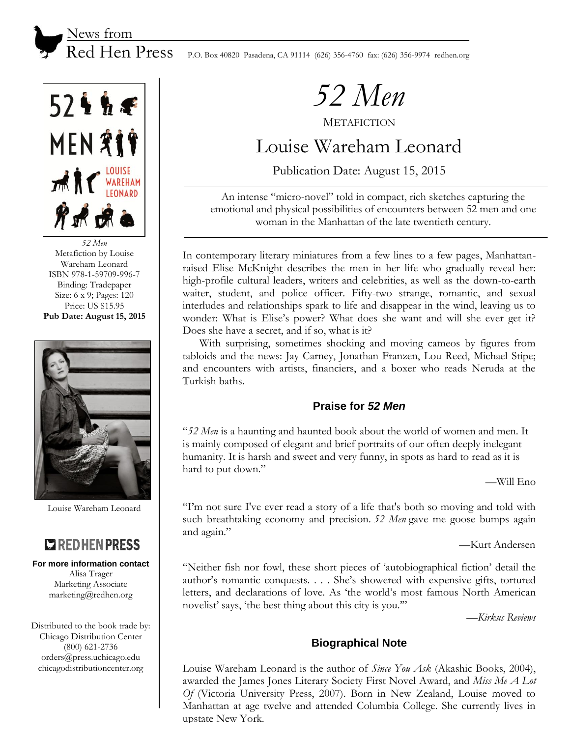$524h$ **MEN ÅIF** THE RESIDENCE 异ポ诺

*52 Men* Metafiction by Louise Wareham Leonard ISBN 978-1-59709-996-7 Binding: Tradepaper Size: 6 x 9; Pages: 120 Price: US \$15.95 **Pub Date: August 15, 2015**



Louise Wareham Leonard

# **EXPLOSIVE RESS**

#### **For more information contact**

Alisa Trager Marketing Associate marketing@redhen.org

Distributed to the book trade by: Chicago Distribution Center (800) 621-2736 orders@press.uchicago.edu chicagodistributioncenter.org

## Red Hen Press P.O. Box 40820 Pasadena, CA 91114 (626) 356-4760 fax: (626) 356-9974 redhen.org

*52 Men*

**METAFICTION** 

# Louise Wareham Leonard

Publication Date: August 15, 2015

An intense "micro-novel" told in compact, rich sketches capturing the emotional and physical possibilities of encounters between 52 men and one woman in the Manhattan of the late twentieth century.

In contemporary literary miniatures from a few lines to a few pages, Manhattanraised Elise McKnight describes the men in her life who gradually reveal her: high-profile cultural leaders, writers and celebrities, as well as the down-to-earth waiter, student, and police officer. Fifty-two strange, romantic, and sexual interludes and relationships spark to life and disappear in the wind, leaving us to wonder: What is Elise's power? What does she want and will she ever get it? Does she have a secret, and if so, what is it?

With surprising, sometimes shocking and moving cameos by figures from tabloids and the news: Jay Carney, Jonathan Franzen, Lou Reed, Michael Stipe; and encounters with artists, financiers, and a boxer who reads Neruda at the Turkish baths.

## **Praise for** *52 Men*

"*52 Men* is a haunting and haunted book about the world of women and men. It is mainly composed of elegant and brief portraits of our often deeply inelegant humanity. It is harsh and sweet and very funny, in spots as hard to read as it is hard to put down."

—Will Eno

"I'm not sure I've ever read a story of a life that's both so moving and told with such breathtaking economy and precision. *52 Men* gave me goose bumps again and again."

—Kurt Andersen

"Neither fish nor fowl, these short pieces of 'autobiographical fiction' detail the author's romantic conquests. . . . She's showered with expensive gifts, tortured letters, and declarations of love. As 'the world's most famous North American novelist' says, 'the best thing about this city is you.'"

—*Kirkus Reviews*

## **Biographical Note**

Louise Wareham Leonard is the author of *Since You Ask* (Akashic Books, 2004), awarded the James Jones Literary Society First Novel Award, and *Miss Me A Lot Of* (Victoria University Press, 2007). Born in New Zealand, Louise moved to Manhattan at age twelve and attended Columbia College. She currently lives in upstate New York.